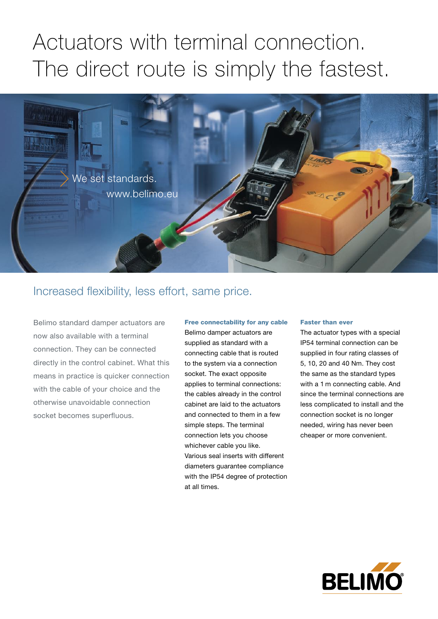## Actuators with terminal connection. The direct route is simply the fastest.



### Increased flexibility, less effort, same price.

Belimo standard damper actuators are now also available with a terminal connection. They can be connected directly in the control cabinet. What this means in practice is quicker connection with the cable of your choice and the otherwise unavoidable connection socket becomes superfluous.

### Free connectability for any cable

Belimo damper actuators are supplied as standard with a connecting cable that is routed to the system via a connection socket. The exact opposite applies to terminal connections: the cables already in the control cabinet are laid to the actuators and connected to them in a few simple steps. The terminal connection lets you choose whichever cable you like. Various seal inserts with different diameters guarantee compliance with the IP54 degree of protection at all times.

#### Faster than ever

The actuator types with a special IP54 terminal connection can be supplied in four rating classes of 5, 10, 20 and 40 Nm. They cost the same as the standard types with a 1 m connecting cable. And since the terminal connections are less complicated to install and the connection socket is no longer needed, wiring has never been cheaper or more convenient.